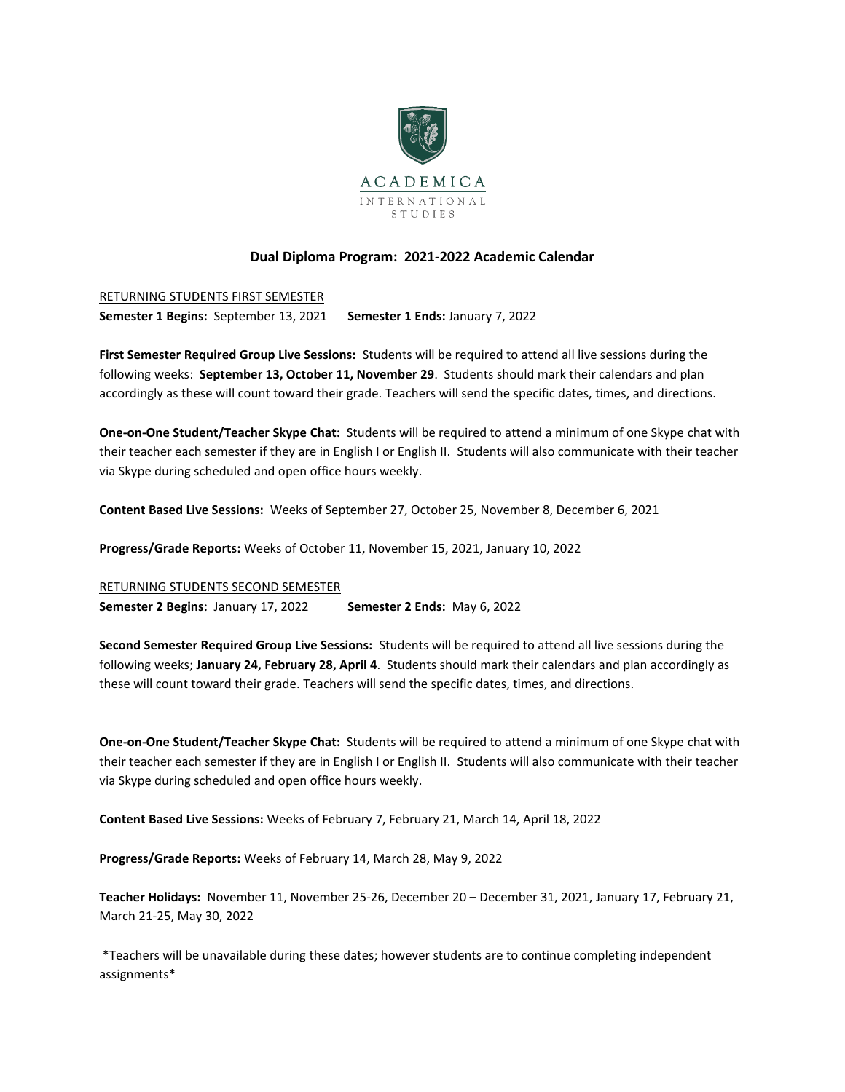

## **Dual Diploma Program: 2021-2022 Academic Calendar**

RETURNING STUDENTS FIRST SEMESTER **Semester 1 Begins:** September 13, 2021 **Semester 1 Ends:** January 7, 2022

**First Semester Required Group Live Sessions:** Students will be required to attend all live sessions during the following weeks: **September 13, October 11, November 29**. Students should mark their calendars and plan accordingly as these will count toward their grade. Teachers will send the specific dates, times, and directions.

**One-on-One Student/Teacher Skype Chat:** Students will be required to attend a minimum of one Skype chat with their teacher each semester if they are in English I or English II. Students will also communicate with their teacher via Skype during scheduled and open office hours weekly.

**Content Based Live Sessions:** Weeks of September 27, October 25, November 8, December 6, 2021

**Progress/Grade Reports:** Weeks of October 11, November 15, 2021, January 10, 2022

RETURNING STUDENTS SECOND SEMESTER **Semester 2 Begins:** January 17, 2022 **Semester 2 Ends:** May 6, 2022

**Second Semester Required Group Live Sessions:** Students will be required to attend all live sessions during the following weeks; **January 24, February 28, April 4**. Students should mark their calendars and plan accordingly as these will count toward their grade. Teachers will send the specific dates, times, and directions.

**One-on-One Student/Teacher Skype Chat:** Students will be required to attend a minimum of one Skype chat with their teacher each semester if they are in English I or English II. Students will also communicate with their teacher via Skype during scheduled and open office hours weekly.

**Content Based Live Sessions:** Weeks of February 7, February 21, March 14, April 18, 2022

**Progress/Grade Reports:** Weeks of February 14, March 28, May 9, 2022

**Teacher Holidays:** November 11, November 25-26, December 20 – December 31, 2021, January 17, February 21, March 21-25, May 30, 2022

\*Teachers will be unavailable during these dates; however students are to continue completing independent assignments\*